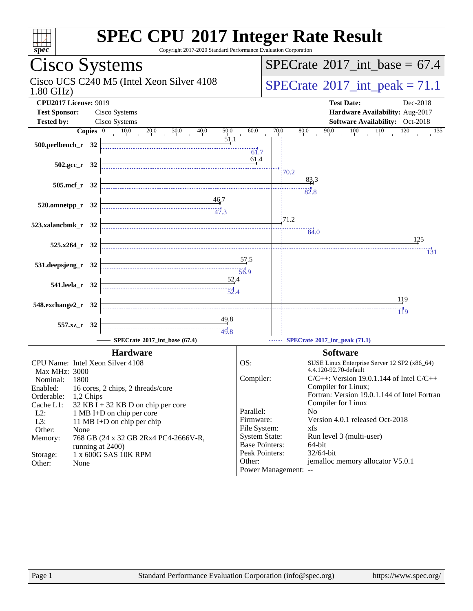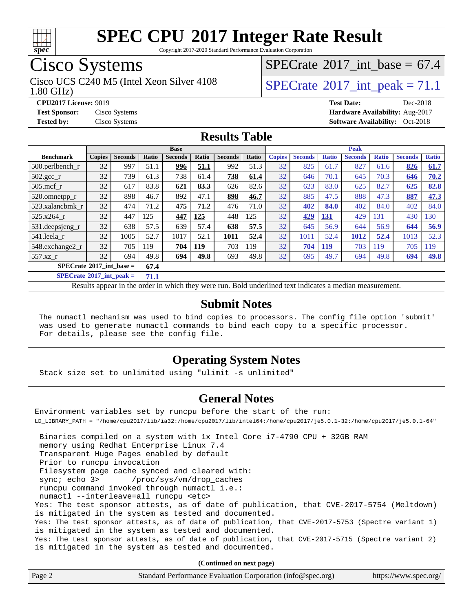

Copyright 2017-2020 Standard Performance Evaluation Corporation

## Cisco Systems

Cisco UCS C240 M5 (Intel Xeon Silver 4108  $\vert$  [SPECrate](http://www.spec.org/auto/cpu2017/Docs/result-fields.html#SPECrate2017intpeak)<sup>®</sup>2017 int peak = 71.1

[SPECrate](http://www.spec.org/auto/cpu2017/Docs/result-fields.html#SPECrate2017intbase)®2017 int\_base =  $67.4$ 

1.80 GHz)

**[CPU2017 License:](http://www.spec.org/auto/cpu2017/Docs/result-fields.html#CPU2017License)** 9019 **[Test Date:](http://www.spec.org/auto/cpu2017/Docs/result-fields.html#TestDate)** Dec-2018 **[Test Sponsor:](http://www.spec.org/auto/cpu2017/Docs/result-fields.html#TestSponsor)** Cisco Systems **[Hardware Availability:](http://www.spec.org/auto/cpu2017/Docs/result-fields.html#HardwareAvailability)** Aug-2017 **[Tested by:](http://www.spec.org/auto/cpu2017/Docs/result-fields.html#Testedby)** Cisco Systems **[Software Availability:](http://www.spec.org/auto/cpu2017/Docs/result-fields.html#SoftwareAvailability)** Oct-2018

## **[Results Table](http://www.spec.org/auto/cpu2017/Docs/result-fields.html#ResultsTable)**

|                                             | <b>Base</b>   |                |       |                |       |                |       | <b>Peak</b>   |                |              |                |              |                |              |
|---------------------------------------------|---------------|----------------|-------|----------------|-------|----------------|-------|---------------|----------------|--------------|----------------|--------------|----------------|--------------|
| <b>Benchmark</b>                            | <b>Copies</b> | <b>Seconds</b> | Ratio | <b>Seconds</b> | Ratio | <b>Seconds</b> | Ratio | <b>Copies</b> | <b>Seconds</b> | <b>Ratio</b> | <b>Seconds</b> | <b>Ratio</b> | <b>Seconds</b> | <b>Ratio</b> |
| $500$ .perlbench r                          | 32            | 997            | 51.1  | 996            | 51.1  | 992            | 51.3  | 32            | 825            | 61.7         | 827            | 61.6         | 826            | 61.7         |
| $502.\text{sec}$                            | 32            | 739            | 61.3  | 738            | 61.4  | 738            | 61.4  | 32            | 646            | 70.1         | 645            | 70.3         | 646            | 70.2         |
| $505$ .mcf r                                | 32            | 617            | 83.8  | 621            | 83.3  | 626            | 82.6  | 32            | 623            | 83.0         | 625            | 82.7         | 625            | 82.8         |
| 520.omnetpp_r                               | 32            | 898            | 46.7  | 892            | 47.1  | 898            | 46.7  | 32            | 885            | 47.5         | 888            | 47.3         | 887            | 47.3         |
| 523.xalancbmk r                             | 32            | 474            | 71.2  | 475            | 71.2  | 476            | 71.0  | 32            | 402            | 84.0         | 402            | 84.0         | 402            | 84.0         |
| 525.x264 r                                  | 32            | 447            | 125   | 447            | 125   | 448            | 125   | 32            | 429            | 131          | 429            | 131          | 430            | 130          |
| 531.deepsjeng_r                             | 32            | 638            | 57.5  | 639            | 57.4  | 638            | 57.5  | 32            | 645            | 56.9         | 644            | 56.9         | 644            | 56.9         |
| 541.leela r                                 | 32            | 1005           | 52.7  | 1017           | 52.1  | 1011           | 52.4  | 32            | 1011           | 52.4         | 1012           | 52.4         | 1013           | 52.3         |
| 548.exchange2_r                             | 32            | 705            | 119   | 704            | 119   | 703            | 119   | 32            | 704            | 119          | 703            | 119          | 705            | 119          |
| $557.xz$ _r                                 | 32            | 694            | 49.8  | 694            | 49.8  | 693            | 49.8  | 32            | 695            | 49.7         | 694            | 49.8         | 694            | 49.8         |
| $SPECrate^{\otimes}2017$ int base =<br>67.4 |               |                |       |                |       |                |       |               |                |              |                |              |                |              |

**[SPECrate](http://www.spec.org/auto/cpu2017/Docs/result-fields.html#SPECrate2017intpeak)[2017\\_int\\_peak =](http://www.spec.org/auto/cpu2017/Docs/result-fields.html#SPECrate2017intpeak) 71.1**

Results appear in the [order in which they were run.](http://www.spec.org/auto/cpu2017/Docs/result-fields.html#RunOrder) Bold underlined text [indicates a median measurement.](http://www.spec.org/auto/cpu2017/Docs/result-fields.html#Median)

#### **[Submit Notes](http://www.spec.org/auto/cpu2017/Docs/result-fields.html#SubmitNotes)**

 The numactl mechanism was used to bind copies to processors. The config file option 'submit' was used to generate numactl commands to bind each copy to a specific processor. For details, please see the config file.

#### **[Operating System Notes](http://www.spec.org/auto/cpu2017/Docs/result-fields.html#OperatingSystemNotes)**

Stack size set to unlimited using "ulimit -s unlimited"

### **[General Notes](http://www.spec.org/auto/cpu2017/Docs/result-fields.html#GeneralNotes)**

Environment variables set by runcpu before the start of the run: LD\_LIBRARY\_PATH = "/home/cpu2017/lib/ia32:/home/cpu2017/lib/intel64:/home/cpu2017/je5.0.1-32:/home/cpu2017/je5.0.1-64" Binaries compiled on a system with 1x Intel Core i7-4790 CPU + 32GB RAM memory using Redhat Enterprise Linux 7.4 Transparent Huge Pages enabled by default Prior to runcpu invocation Filesystem page cache synced and cleared with:

sync; echo 3> /proc/sys/vm/drop\_caches runcpu command invoked through numactl i.e.:

numactl --interleave=all runcpu <etc>

Yes: The test sponsor attests, as of date of publication, that CVE-2017-5754 (Meltdown) is mitigated in the system as tested and documented.

Yes: The test sponsor attests, as of date of publication, that CVE-2017-5753 (Spectre variant 1) is mitigated in the system as tested and documented. Yes: The test sponsor attests, as of date of publication, that CVE-2017-5715 (Spectre variant 2)

is mitigated in the system as tested and documented.

**(Continued on next page)**

| Page 2<br>Standard Performance Evaluation Corporation (info@spec.org)<br>https://www.spec.org/ |  |
|------------------------------------------------------------------------------------------------|--|
|------------------------------------------------------------------------------------------------|--|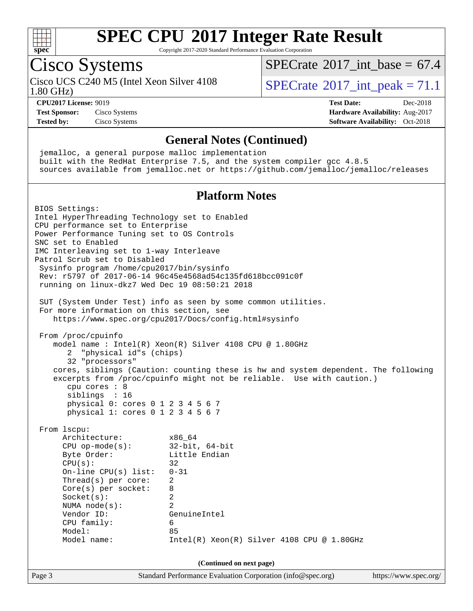

Copyright 2017-2020 Standard Performance Evaluation Corporation

## Cisco Systems

Cisco UCS C240 M5 (Intel Xeon Silver 4108  $\vert$  [SPECrate](http://www.spec.org/auto/cpu2017/Docs/result-fields.html#SPECrate2017intpeak)<sup>®</sup>2017 int peak = 71.1

[SPECrate](http://www.spec.org/auto/cpu2017/Docs/result-fields.html#SPECrate2017intbase)®2017 int\_base =  $67.4$ 

1.80 GHz)

**[Tested by:](http://www.spec.org/auto/cpu2017/Docs/result-fields.html#Testedby)** Cisco Systems **[Software Availability:](http://www.spec.org/auto/cpu2017/Docs/result-fields.html#SoftwareAvailability)** Oct-2018

**[CPU2017 License:](http://www.spec.org/auto/cpu2017/Docs/result-fields.html#CPU2017License)** 9019 **[Test Date:](http://www.spec.org/auto/cpu2017/Docs/result-fields.html#TestDate)** Dec-2018 **[Test Sponsor:](http://www.spec.org/auto/cpu2017/Docs/result-fields.html#TestSponsor)** Cisco Systems **[Hardware Availability:](http://www.spec.org/auto/cpu2017/Docs/result-fields.html#HardwareAvailability)** Aug-2017

### **[General Notes \(Continued\)](http://www.spec.org/auto/cpu2017/Docs/result-fields.html#GeneralNotes)**

 jemalloc, a general purpose malloc implementation built with the RedHat Enterprise 7.5, and the system compiler gcc 4.8.5 sources available from jemalloc.net or <https://github.com/jemalloc/jemalloc/releases>

## **[Platform Notes](http://www.spec.org/auto/cpu2017/Docs/result-fields.html#PlatformNotes)**

Page 3 Standard Performance Evaluation Corporation [\(info@spec.org\)](mailto:info@spec.org) <https://www.spec.org/> BIOS Settings: Intel HyperThreading Technology set to Enabled CPU performance set to Enterprise Power Performance Tuning set to OS Controls SNC set to Enabled IMC Interleaving set to 1-way Interleave Patrol Scrub set to Disabled Sysinfo program /home/cpu2017/bin/sysinfo Rev: r5797 of 2017-06-14 96c45e4568ad54c135fd618bcc091c0f running on linux-dkz7 Wed Dec 19 08:50:21 2018 SUT (System Under Test) info as seen by some common utilities. For more information on this section, see <https://www.spec.org/cpu2017/Docs/config.html#sysinfo> From /proc/cpuinfo model name : Intel(R) Xeon(R) Silver 4108 CPU @ 1.80GHz 2 "physical id"s (chips) 32 "processors" cores, siblings (Caution: counting these is hw and system dependent. The following excerpts from /proc/cpuinfo might not be reliable. Use with caution.) cpu cores : 8 siblings : 16 physical 0: cores 0 1 2 3 4 5 6 7 physical 1: cores 0 1 2 3 4 5 6 7 From lscpu: Architecture: x86\_64 CPU op-mode(s): 32-bit, 64-bit Byte Order: Little Endian  $CPU(s):$  32 On-line CPU(s) list: 0-31 Thread(s) per core: 2 Core(s) per socket: 8 Socket(s): 2 NUMA node(s): 2 Vendor ID: GenuineIntel CPU family: 6 Model: 85 Model name: Intel(R) Xeon(R) Silver 4108 CPU @ 1.80GHz **(Continued on next page)**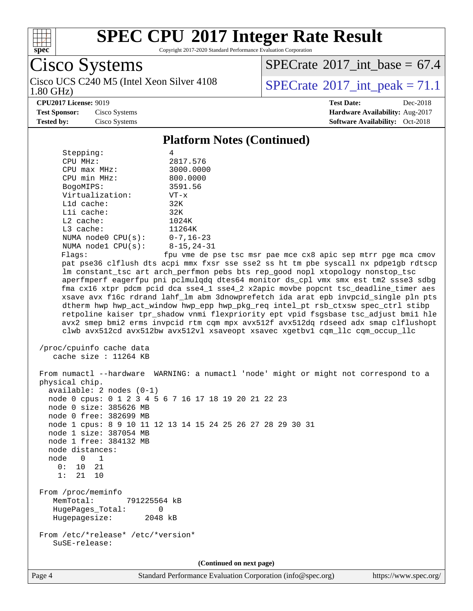

Copyright 2017-2020 Standard Performance Evaluation Corporation

Cisco Systems Cisco UCS C240 M5 (Intel Xeon Silver 4108<br>1.80 GHz) [SPECrate](http://www.spec.org/auto/cpu2017/Docs/result-fields.html#SPECrate2017intbase)®2017 int\_base =  $67.4$ 

[SPECrate](http://www.spec.org/auto/cpu2017/Docs/result-fields.html#SPECrate2017intpeak)<sup>®</sup>2017 int peak = 71.1

**[CPU2017 License:](http://www.spec.org/auto/cpu2017/Docs/result-fields.html#CPU2017License)** 9019 **[Test Date:](http://www.spec.org/auto/cpu2017/Docs/result-fields.html#TestDate)** Dec-2018 **[Test Sponsor:](http://www.spec.org/auto/cpu2017/Docs/result-fields.html#TestSponsor)** Cisco Systems **[Hardware Availability:](http://www.spec.org/auto/cpu2017/Docs/result-fields.html#HardwareAvailability)** Aug-2017 **[Tested by:](http://www.spec.org/auto/cpu2017/Docs/result-fields.html#Testedby)** Cisco Systems **[Software Availability:](http://www.spec.org/auto/cpu2017/Docs/result-fields.html#SoftwareAvailability)** Oct-2018

#### **[Platform Notes \(Continued\)](http://www.spec.org/auto/cpu2017/Docs/result-fields.html#PlatformNotes)** Stepping: 4 CPU MHz: 2817.576 CPU max MHz: 3000.0000 CPU min MHz: 800.0000 BogoMIPS: 3591.56 Virtualization: VT-x L1d cache: 32K L1i cache: 32K<br>
L2 cache: 1024K  $L2$  cache: L3 cache: 11264K NUMA node0 CPU(s): 0-7,16-23 NUMA node1 CPU(s): 8-15,24-31 Flags: fpu vme de pse tsc msr pae mce cx8 apic sep mtrr pge mca cmov pat pse36 clflush dts acpi mmx fxsr sse sse2 ss ht tm pbe syscall nx pdpe1gb rdtscp lm constant\_tsc art arch\_perfmon pebs bts rep\_good nopl xtopology nonstop\_tsc aperfmperf eagerfpu pni pclmulqdq dtes64 monitor ds\_cpl vmx smx est tm2 ssse3 sdbg fma cx16 xtpr pdcm pcid dca sse4\_1 sse4\_2 x2apic movbe popcnt tsc\_deadline\_timer aes xsave avx f16c rdrand lahf\_lm abm 3dnowprefetch ida arat epb invpcid\_single pln pts dtherm hwp hwp\_act\_window hwp\_epp hwp\_pkg\_req intel\_pt rsb\_ctxsw spec\_ctrl stibp retpoline kaiser tpr\_shadow vnmi flexpriority ept vpid fsgsbase tsc\_adjust bmi1 hle avx2 smep bmi2 erms invpcid rtm cqm mpx avx512f avx512dq rdseed adx smap clflushopt clwb avx512cd avx512bw avx512vl xsaveopt xsavec xgetbv1 cqm\_llc cqm\_occup\_llc /proc/cpuinfo cache data cache size : 11264 KB From numactl --hardware WARNING: a numactl 'node' might or might not correspond to a physical chip. available: 2 nodes (0-1) node 0 cpus: 0 1 2 3 4 5 6 7 16 17 18 19 20 21 22 23 node 0 size: 385626 MB node 0 free: 382699 MB node 1 cpus: 8 9 10 11 12 13 14 15 24 25 26 27 28 29 30 31 node 1 size: 387054 MB node 1 free: 384132 MB node distances: node 0 1  $0: 10 21$  1: 21 10 From /proc/meminfo MemTotal: 791225564 kB HugePages\_Total: 0 Hugepagesize: 2048 kB From /etc/\*release\* /etc/\*version\* SuSE-release: **(Continued on next page)**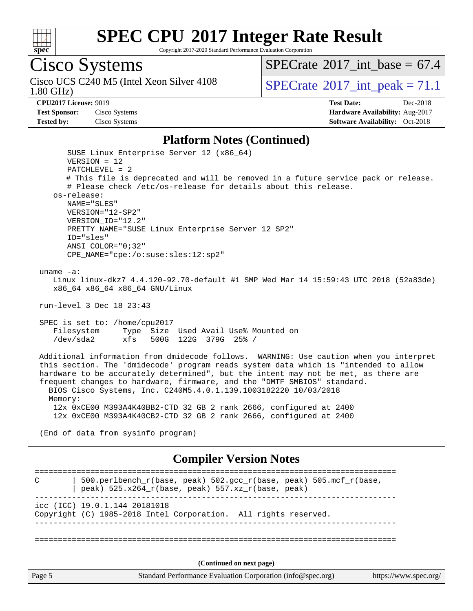

Copyright 2017-2020 Standard Performance Evaluation Corporation

# Cisco Systems

1.80 GHz) Cisco UCS C240 M5 (Intel Xeon Silver 4108  $\vert$  [SPECrate](http://www.spec.org/auto/cpu2017/Docs/result-fields.html#SPECrate2017intpeak)<sup>®</sup>2017 int peak = 71.1

[SPECrate](http://www.spec.org/auto/cpu2017/Docs/result-fields.html#SPECrate2017intbase)®2017 int\_base =  $67.4$ 

**[Tested by:](http://www.spec.org/auto/cpu2017/Docs/result-fields.html#Testedby)** Cisco Systems **[Software Availability:](http://www.spec.org/auto/cpu2017/Docs/result-fields.html#SoftwareAvailability)** Oct-2018

**[CPU2017 License:](http://www.spec.org/auto/cpu2017/Docs/result-fields.html#CPU2017License)** 9019 **[Test Date:](http://www.spec.org/auto/cpu2017/Docs/result-fields.html#TestDate)** Dec-2018 **[Test Sponsor:](http://www.spec.org/auto/cpu2017/Docs/result-fields.html#TestSponsor)** Cisco Systems **[Hardware Availability:](http://www.spec.org/auto/cpu2017/Docs/result-fields.html#HardwareAvailability)** Aug-2017

#### **[Platform Notes \(Continued\)](http://www.spec.org/auto/cpu2017/Docs/result-fields.html#PlatformNotes)**

Page 5 Standard Performance Evaluation Corporation [\(info@spec.org\)](mailto:info@spec.org) <https://www.spec.org/> SUSE Linux Enterprise Server 12 (x86\_64) VERSION = 12 PATCHLEVEL = 2 # This file is deprecated and will be removed in a future service pack or release. # Please check /etc/os-release for details about this release. os-release: NAME="SLES" VERSION="12-SP2" VERSION\_ID="12.2" PRETTY\_NAME="SUSE Linux Enterprise Server 12 SP2" ID="sles" ANSI\_COLOR="0;32" CPE\_NAME="cpe:/o:suse:sles:12:sp2" uname -a: Linux linux-dkz7 4.4.120-92.70-default #1 SMP Wed Mar 14 15:59:43 UTC 2018 (52a83de) x86\_64 x86\_64 x86\_64 GNU/Linux run-level 3 Dec 18 23:43 SPEC is set to: /home/cpu2017 Filesystem Type Size Used Avail Use% Mounted on /dev/sda2 xfs 500G 122G 379G 25% / Additional information from dmidecode follows. WARNING: Use caution when you interpret this section. The 'dmidecode' program reads system data which is "intended to allow hardware to be accurately determined", but the intent may not be met, as there are frequent changes to hardware, firmware, and the "DMTF SMBIOS" standard. BIOS Cisco Systems, Inc. C240M5.4.0.1.139.1003182220 10/03/2018 Memory: 12x 0xCE00 M393A4K40BB2-CTD 32 GB 2 rank 2666, configured at 2400 12x 0xCE00 M393A4K40CB2-CTD 32 GB 2 rank 2666, configured at 2400 (End of data from sysinfo program) **[Compiler Version Notes](http://www.spec.org/auto/cpu2017/Docs/result-fields.html#CompilerVersionNotes)** ============================================================================== C  $\vert$  500.perlbench\_r(base, peak) 502.gcc\_r(base, peak) 505.mcf\_r(base, | peak) 525.x264\_r(base, peak) 557.xz\_r(base, peak) ----------------------------------------------------------------------------- icc (ICC) 19.0.1.144 20181018 Copyright (C) 1985-2018 Intel Corporation. All rights reserved. ------------------------------------------------------------------------------ ============================================================================== **(Continued on next page)**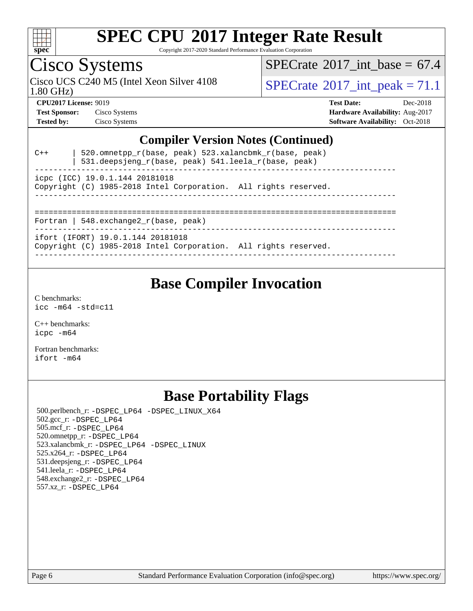

Copyright 2017-2020 Standard Performance Evaluation Corporation

# Cisco Systems

1.80 GHz) Cisco UCS C240 M5 (Intel Xeon Silver 4108  $\vert$  [SPECrate](http://www.spec.org/auto/cpu2017/Docs/result-fields.html#SPECrate2017intpeak)®[2017\\_int\\_peak =](http://www.spec.org/auto/cpu2017/Docs/result-fields.html#SPECrate2017intpeak) 71.1

[SPECrate](http://www.spec.org/auto/cpu2017/Docs/result-fields.html#SPECrate2017intbase)<sup>®</sup>2017 int\_base =  $67.4$ 

**[CPU2017 License:](http://www.spec.org/auto/cpu2017/Docs/result-fields.html#CPU2017License)** 9019 **[Test Date:](http://www.spec.org/auto/cpu2017/Docs/result-fields.html#TestDate)** Dec-2018 **[Test Sponsor:](http://www.spec.org/auto/cpu2017/Docs/result-fields.html#TestSponsor)** Cisco Systems **[Hardware Availability:](http://www.spec.org/auto/cpu2017/Docs/result-fields.html#HardwareAvailability)** Aug-2017 **[Tested by:](http://www.spec.org/auto/cpu2017/Docs/result-fields.html#Testedby)** Cisco Systems **[Software Availability:](http://www.spec.org/auto/cpu2017/Docs/result-fields.html#SoftwareAvailability)** Oct-2018

### **[Compiler Version Notes \(Continued\)](http://www.spec.org/auto/cpu2017/Docs/result-fields.html#CompilerVersionNotes)**

| $C++$                                                                                             | $520.$ omnetpp_r(base, peak) $523.$ xalancbmk_r(base, peak)<br>531.deepsjeng_r(base, peak) 541.leela_r(base, peak) |  |  |  |  |  |  |  |
|---------------------------------------------------------------------------------------------------|--------------------------------------------------------------------------------------------------------------------|--|--|--|--|--|--|--|
| icpc (ICC) 19.0.1.144 20181018<br>Copyright (C) 1985-2018 Intel Corporation. All rights reserved. |                                                                                                                    |  |  |  |  |  |  |  |
| Fortran   548. $exchange2 r(base, peak)$                                                          |                                                                                                                    |  |  |  |  |  |  |  |
|                                                                                                   | ifort (IFORT) 19.0.1.144 20181018<br>Copyright (C) 1985-2018 Intel Corporation. All rights reserved.               |  |  |  |  |  |  |  |

## **[Base Compiler Invocation](http://www.spec.org/auto/cpu2017/Docs/result-fields.html#BaseCompilerInvocation)**

[C benchmarks](http://www.spec.org/auto/cpu2017/Docs/result-fields.html#Cbenchmarks): [icc -m64 -std=c11](http://www.spec.org/cpu2017/results/res2019q1/cpu2017-20190108-10645.flags.html#user_CCbase_intel_icc_64bit_c11_33ee0cdaae7deeeab2a9725423ba97205ce30f63b9926c2519791662299b76a0318f32ddfffdc46587804de3178b4f9328c46fa7c2b0cd779d7a61945c91cd35)

[C++ benchmarks:](http://www.spec.org/auto/cpu2017/Docs/result-fields.html#CXXbenchmarks) [icpc -m64](http://www.spec.org/cpu2017/results/res2019q1/cpu2017-20190108-10645.flags.html#user_CXXbase_intel_icpc_64bit_4ecb2543ae3f1412ef961e0650ca070fec7b7afdcd6ed48761b84423119d1bf6bdf5cad15b44d48e7256388bc77273b966e5eb805aefd121eb22e9299b2ec9d9)

[Fortran benchmarks](http://www.spec.org/auto/cpu2017/Docs/result-fields.html#Fortranbenchmarks): [ifort -m64](http://www.spec.org/cpu2017/results/res2019q1/cpu2017-20190108-10645.flags.html#user_FCbase_intel_ifort_64bit_24f2bb282fbaeffd6157abe4f878425411749daecae9a33200eee2bee2fe76f3b89351d69a8130dd5949958ce389cf37ff59a95e7a40d588e8d3a57e0c3fd751)

## **[Base Portability Flags](http://www.spec.org/auto/cpu2017/Docs/result-fields.html#BasePortabilityFlags)**

 500.perlbench\_r: [-DSPEC\\_LP64](http://www.spec.org/cpu2017/results/res2019q1/cpu2017-20190108-10645.flags.html#b500.perlbench_r_basePORTABILITY_DSPEC_LP64) [-DSPEC\\_LINUX\\_X64](http://www.spec.org/cpu2017/results/res2019q1/cpu2017-20190108-10645.flags.html#b500.perlbench_r_baseCPORTABILITY_DSPEC_LINUX_X64) 502.gcc\_r: [-DSPEC\\_LP64](http://www.spec.org/cpu2017/results/res2019q1/cpu2017-20190108-10645.flags.html#suite_basePORTABILITY502_gcc_r_DSPEC_LP64) 505.mcf\_r: [-DSPEC\\_LP64](http://www.spec.org/cpu2017/results/res2019q1/cpu2017-20190108-10645.flags.html#suite_basePORTABILITY505_mcf_r_DSPEC_LP64) 520.omnetpp\_r: [-DSPEC\\_LP64](http://www.spec.org/cpu2017/results/res2019q1/cpu2017-20190108-10645.flags.html#suite_basePORTABILITY520_omnetpp_r_DSPEC_LP64) 523.xalancbmk\_r: [-DSPEC\\_LP64](http://www.spec.org/cpu2017/results/res2019q1/cpu2017-20190108-10645.flags.html#suite_basePORTABILITY523_xalancbmk_r_DSPEC_LP64) [-DSPEC\\_LINUX](http://www.spec.org/cpu2017/results/res2019q1/cpu2017-20190108-10645.flags.html#b523.xalancbmk_r_baseCXXPORTABILITY_DSPEC_LINUX) 525.x264\_r: [-DSPEC\\_LP64](http://www.spec.org/cpu2017/results/res2019q1/cpu2017-20190108-10645.flags.html#suite_basePORTABILITY525_x264_r_DSPEC_LP64) 531.deepsjeng\_r: [-DSPEC\\_LP64](http://www.spec.org/cpu2017/results/res2019q1/cpu2017-20190108-10645.flags.html#suite_basePORTABILITY531_deepsjeng_r_DSPEC_LP64) 541.leela\_r: [-DSPEC\\_LP64](http://www.spec.org/cpu2017/results/res2019q1/cpu2017-20190108-10645.flags.html#suite_basePORTABILITY541_leela_r_DSPEC_LP64) 548.exchange2\_r: [-DSPEC\\_LP64](http://www.spec.org/cpu2017/results/res2019q1/cpu2017-20190108-10645.flags.html#suite_basePORTABILITY548_exchange2_r_DSPEC_LP64) 557.xz\_r: [-DSPEC\\_LP64](http://www.spec.org/cpu2017/results/res2019q1/cpu2017-20190108-10645.flags.html#suite_basePORTABILITY557_xz_r_DSPEC_LP64)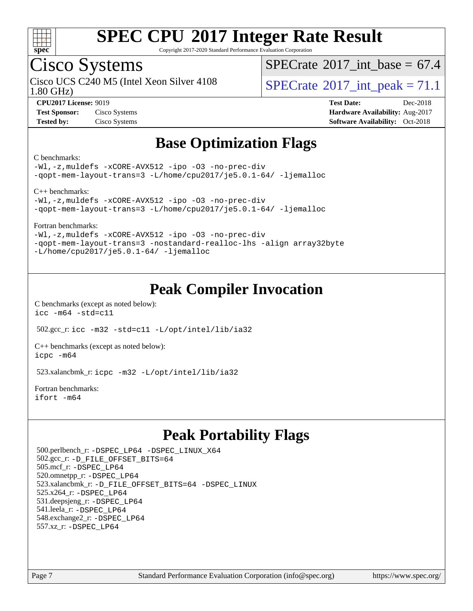

Copyright 2017-2020 Standard Performance Evaluation Corporation

## Cisco Systems

1.80 GHz) Cisco UCS C240 M5 (Intel Xeon Silver 4108  $\vert$  [SPECrate](http://www.spec.org/auto/cpu2017/Docs/result-fields.html#SPECrate2017intpeak)®2017 int peak = 71.1

[SPECrate](http://www.spec.org/auto/cpu2017/Docs/result-fields.html#SPECrate2017intbase)®2017 int\_base =  $67.4$ 

**[Test Sponsor:](http://www.spec.org/auto/cpu2017/Docs/result-fields.html#TestSponsor)** Cisco Systems **[Hardware Availability:](http://www.spec.org/auto/cpu2017/Docs/result-fields.html#HardwareAvailability)** Aug-2017

**[CPU2017 License:](http://www.spec.org/auto/cpu2017/Docs/result-fields.html#CPU2017License)** 9019 **[Test Date:](http://www.spec.org/auto/cpu2017/Docs/result-fields.html#TestDate)** Dec-2018 **[Tested by:](http://www.spec.org/auto/cpu2017/Docs/result-fields.html#Testedby)** Cisco Systems **[Software Availability:](http://www.spec.org/auto/cpu2017/Docs/result-fields.html#SoftwareAvailability)** Oct-2018

## **[Base Optimization Flags](http://www.spec.org/auto/cpu2017/Docs/result-fields.html#BaseOptimizationFlags)**

#### [C benchmarks](http://www.spec.org/auto/cpu2017/Docs/result-fields.html#Cbenchmarks):

[-Wl,-z,muldefs](http://www.spec.org/cpu2017/results/res2019q1/cpu2017-20190108-10645.flags.html#user_CCbase_link_force_multiple1_b4cbdb97b34bdee9ceefcfe54f4c8ea74255f0b02a4b23e853cdb0e18eb4525ac79b5a88067c842dd0ee6996c24547a27a4b99331201badda8798ef8a743f577) [-xCORE-AVX512](http://www.spec.org/cpu2017/results/res2019q1/cpu2017-20190108-10645.flags.html#user_CCbase_f-xCORE-AVX512) [-ipo](http://www.spec.org/cpu2017/results/res2019q1/cpu2017-20190108-10645.flags.html#user_CCbase_f-ipo) [-O3](http://www.spec.org/cpu2017/results/res2019q1/cpu2017-20190108-10645.flags.html#user_CCbase_f-O3) [-no-prec-div](http://www.spec.org/cpu2017/results/res2019q1/cpu2017-20190108-10645.flags.html#user_CCbase_f-no-prec-div) [-qopt-mem-layout-trans=3](http://www.spec.org/cpu2017/results/res2019q1/cpu2017-20190108-10645.flags.html#user_CCbase_f-qopt-mem-layout-trans_de80db37974c74b1f0e20d883f0b675c88c3b01e9d123adea9b28688d64333345fb62bc4a798493513fdb68f60282f9a726aa07f478b2f7113531aecce732043) [-L/home/cpu2017/je5.0.1-64/](http://www.spec.org/cpu2017/results/res2019q1/cpu2017-20190108-10645.flags.html#user_CCbase_jemalloc_link_path64_8e927a5f1bdac0405e66c637541874330e08086b5e62a1d024bcf3497e3c64fd173c8afb7d1730d51f6da781ef4c439bdab468bb8364cf71435e0c609fac500c) [-ljemalloc](http://www.spec.org/cpu2017/results/res2019q1/cpu2017-20190108-10645.flags.html#user_CCbase_jemalloc_link_lib_d1249b907c500fa1c0672f44f562e3d0f79738ae9e3c4a9c376d49f265a04b9c99b167ecedbf6711b3085be911c67ff61f150a17b3472be731631ba4d0471706)

[C++ benchmarks:](http://www.spec.org/auto/cpu2017/Docs/result-fields.html#CXXbenchmarks)

[-Wl,-z,muldefs](http://www.spec.org/cpu2017/results/res2019q1/cpu2017-20190108-10645.flags.html#user_CXXbase_link_force_multiple1_b4cbdb97b34bdee9ceefcfe54f4c8ea74255f0b02a4b23e853cdb0e18eb4525ac79b5a88067c842dd0ee6996c24547a27a4b99331201badda8798ef8a743f577) [-xCORE-AVX512](http://www.spec.org/cpu2017/results/res2019q1/cpu2017-20190108-10645.flags.html#user_CXXbase_f-xCORE-AVX512) [-ipo](http://www.spec.org/cpu2017/results/res2019q1/cpu2017-20190108-10645.flags.html#user_CXXbase_f-ipo) [-O3](http://www.spec.org/cpu2017/results/res2019q1/cpu2017-20190108-10645.flags.html#user_CXXbase_f-O3) [-no-prec-div](http://www.spec.org/cpu2017/results/res2019q1/cpu2017-20190108-10645.flags.html#user_CXXbase_f-no-prec-div) [-qopt-mem-layout-trans=3](http://www.spec.org/cpu2017/results/res2019q1/cpu2017-20190108-10645.flags.html#user_CXXbase_f-qopt-mem-layout-trans_de80db37974c74b1f0e20d883f0b675c88c3b01e9d123adea9b28688d64333345fb62bc4a798493513fdb68f60282f9a726aa07f478b2f7113531aecce732043) [-L/home/cpu2017/je5.0.1-64/](http://www.spec.org/cpu2017/results/res2019q1/cpu2017-20190108-10645.flags.html#user_CXXbase_jemalloc_link_path64_8e927a5f1bdac0405e66c637541874330e08086b5e62a1d024bcf3497e3c64fd173c8afb7d1730d51f6da781ef4c439bdab468bb8364cf71435e0c609fac500c) [-ljemalloc](http://www.spec.org/cpu2017/results/res2019q1/cpu2017-20190108-10645.flags.html#user_CXXbase_jemalloc_link_lib_d1249b907c500fa1c0672f44f562e3d0f79738ae9e3c4a9c376d49f265a04b9c99b167ecedbf6711b3085be911c67ff61f150a17b3472be731631ba4d0471706)

[Fortran benchmarks](http://www.spec.org/auto/cpu2017/Docs/result-fields.html#Fortranbenchmarks):

[-Wl,-z,muldefs](http://www.spec.org/cpu2017/results/res2019q1/cpu2017-20190108-10645.flags.html#user_FCbase_link_force_multiple1_b4cbdb97b34bdee9ceefcfe54f4c8ea74255f0b02a4b23e853cdb0e18eb4525ac79b5a88067c842dd0ee6996c24547a27a4b99331201badda8798ef8a743f577) [-xCORE-AVX512](http://www.spec.org/cpu2017/results/res2019q1/cpu2017-20190108-10645.flags.html#user_FCbase_f-xCORE-AVX512) [-ipo](http://www.spec.org/cpu2017/results/res2019q1/cpu2017-20190108-10645.flags.html#user_FCbase_f-ipo) [-O3](http://www.spec.org/cpu2017/results/res2019q1/cpu2017-20190108-10645.flags.html#user_FCbase_f-O3) [-no-prec-div](http://www.spec.org/cpu2017/results/res2019q1/cpu2017-20190108-10645.flags.html#user_FCbase_f-no-prec-div) [-qopt-mem-layout-trans=3](http://www.spec.org/cpu2017/results/res2019q1/cpu2017-20190108-10645.flags.html#user_FCbase_f-qopt-mem-layout-trans_de80db37974c74b1f0e20d883f0b675c88c3b01e9d123adea9b28688d64333345fb62bc4a798493513fdb68f60282f9a726aa07f478b2f7113531aecce732043) [-nostandard-realloc-lhs](http://www.spec.org/cpu2017/results/res2019q1/cpu2017-20190108-10645.flags.html#user_FCbase_f_2003_std_realloc_82b4557e90729c0f113870c07e44d33d6f5a304b4f63d4c15d2d0f1fab99f5daaed73bdb9275d9ae411527f28b936061aa8b9c8f2d63842963b95c9dd6426b8a) [-align array32byte](http://www.spec.org/cpu2017/results/res2019q1/cpu2017-20190108-10645.flags.html#user_FCbase_align_array32byte_b982fe038af199962ba9a80c053b8342c548c85b40b8e86eb3cc33dee0d7986a4af373ac2d51c3f7cf710a18d62fdce2948f201cd044323541f22fc0fffc51b6) [-L/home/cpu2017/je5.0.1-64/](http://www.spec.org/cpu2017/results/res2019q1/cpu2017-20190108-10645.flags.html#user_FCbase_jemalloc_link_path64_8e927a5f1bdac0405e66c637541874330e08086b5e62a1d024bcf3497e3c64fd173c8afb7d1730d51f6da781ef4c439bdab468bb8364cf71435e0c609fac500c) [-ljemalloc](http://www.spec.org/cpu2017/results/res2019q1/cpu2017-20190108-10645.flags.html#user_FCbase_jemalloc_link_lib_d1249b907c500fa1c0672f44f562e3d0f79738ae9e3c4a9c376d49f265a04b9c99b167ecedbf6711b3085be911c67ff61f150a17b3472be731631ba4d0471706)

## **[Peak Compiler Invocation](http://www.spec.org/auto/cpu2017/Docs/result-fields.html#PeakCompilerInvocation)**

[C benchmarks \(except as noted below\)](http://www.spec.org/auto/cpu2017/Docs/result-fields.html#Cbenchmarksexceptasnotedbelow): [icc -m64 -std=c11](http://www.spec.org/cpu2017/results/res2019q1/cpu2017-20190108-10645.flags.html#user_CCpeak_intel_icc_64bit_c11_33ee0cdaae7deeeab2a9725423ba97205ce30f63b9926c2519791662299b76a0318f32ddfffdc46587804de3178b4f9328c46fa7c2b0cd779d7a61945c91cd35)

502.gcc\_r: [icc -m32 -std=c11 -L/opt/intel/lib/ia32](http://www.spec.org/cpu2017/results/res2019q1/cpu2017-20190108-10645.flags.html#user_peakCCLD502_gcc_r_intel_icc_ba8be3d1ddcd8fa690d221d86b97d5980848a6fc7befb72d2aae7f265697ba3b80fdc9e77889232674508f6cf7fae229a8f479c4e0ca8921041dee8e2ca22d98)

[C++ benchmarks \(except as noted below\):](http://www.spec.org/auto/cpu2017/Docs/result-fields.html#CXXbenchmarksexceptasnotedbelow) [icpc -m64](http://www.spec.org/cpu2017/results/res2019q1/cpu2017-20190108-10645.flags.html#user_CXXpeak_intel_icpc_64bit_4ecb2543ae3f1412ef961e0650ca070fec7b7afdcd6ed48761b84423119d1bf6bdf5cad15b44d48e7256388bc77273b966e5eb805aefd121eb22e9299b2ec9d9)

523.xalancbmk\_r: [icpc -m32 -L/opt/intel/lib/ia32](http://www.spec.org/cpu2017/results/res2019q1/cpu2017-20190108-10645.flags.html#user_peakCXXLD523_xalancbmk_r_intel_icpc_44eae83c1f565e7e266431f067370024ba26559400a3332485578bf716e23841c734f948145e944e2f4b6f3ce32c2c966ea92b66ca79c6f94f301242c0f554cf)

[Fortran benchmarks](http://www.spec.org/auto/cpu2017/Docs/result-fields.html#Fortranbenchmarks): [ifort -m64](http://www.spec.org/cpu2017/results/res2019q1/cpu2017-20190108-10645.flags.html#user_FCpeak_intel_ifort_64bit_24f2bb282fbaeffd6157abe4f878425411749daecae9a33200eee2bee2fe76f3b89351d69a8130dd5949958ce389cf37ff59a95e7a40d588e8d3a57e0c3fd751)

## **[Peak Portability Flags](http://www.spec.org/auto/cpu2017/Docs/result-fields.html#PeakPortabilityFlags)**

 500.perlbench\_r: [-DSPEC\\_LP64](http://www.spec.org/cpu2017/results/res2019q1/cpu2017-20190108-10645.flags.html#b500.perlbench_r_peakPORTABILITY_DSPEC_LP64) [-DSPEC\\_LINUX\\_X64](http://www.spec.org/cpu2017/results/res2019q1/cpu2017-20190108-10645.flags.html#b500.perlbench_r_peakCPORTABILITY_DSPEC_LINUX_X64) 502.gcc\_r: [-D\\_FILE\\_OFFSET\\_BITS=64](http://www.spec.org/cpu2017/results/res2019q1/cpu2017-20190108-10645.flags.html#user_peakPORTABILITY502_gcc_r_file_offset_bits_64_5ae949a99b284ddf4e95728d47cb0843d81b2eb0e18bdfe74bbf0f61d0b064f4bda2f10ea5eb90e1dcab0e84dbc592acfc5018bc955c18609f94ddb8d550002c) 505.mcf\_r: [-DSPEC\\_LP64](http://www.spec.org/cpu2017/results/res2019q1/cpu2017-20190108-10645.flags.html#suite_peakPORTABILITY505_mcf_r_DSPEC_LP64) 520.omnetpp\_r: [-DSPEC\\_LP64](http://www.spec.org/cpu2017/results/res2019q1/cpu2017-20190108-10645.flags.html#suite_peakPORTABILITY520_omnetpp_r_DSPEC_LP64) 523.xalancbmk\_r: [-D\\_FILE\\_OFFSET\\_BITS=64](http://www.spec.org/cpu2017/results/res2019q1/cpu2017-20190108-10645.flags.html#user_peakPORTABILITY523_xalancbmk_r_file_offset_bits_64_5ae949a99b284ddf4e95728d47cb0843d81b2eb0e18bdfe74bbf0f61d0b064f4bda2f10ea5eb90e1dcab0e84dbc592acfc5018bc955c18609f94ddb8d550002c) [-DSPEC\\_LINUX](http://www.spec.org/cpu2017/results/res2019q1/cpu2017-20190108-10645.flags.html#b523.xalancbmk_r_peakCXXPORTABILITY_DSPEC_LINUX) 525.x264\_r: [-DSPEC\\_LP64](http://www.spec.org/cpu2017/results/res2019q1/cpu2017-20190108-10645.flags.html#suite_peakPORTABILITY525_x264_r_DSPEC_LP64) 531.deepsjeng\_r: [-DSPEC\\_LP64](http://www.spec.org/cpu2017/results/res2019q1/cpu2017-20190108-10645.flags.html#suite_peakPORTABILITY531_deepsjeng_r_DSPEC_LP64) 541.leela\_r: [-DSPEC\\_LP64](http://www.spec.org/cpu2017/results/res2019q1/cpu2017-20190108-10645.flags.html#suite_peakPORTABILITY541_leela_r_DSPEC_LP64) 548.exchange2\_r: [-DSPEC\\_LP64](http://www.spec.org/cpu2017/results/res2019q1/cpu2017-20190108-10645.flags.html#suite_peakPORTABILITY548_exchange2_r_DSPEC_LP64) 557.xz\_r: [-DSPEC\\_LP64](http://www.spec.org/cpu2017/results/res2019q1/cpu2017-20190108-10645.flags.html#suite_peakPORTABILITY557_xz_r_DSPEC_LP64)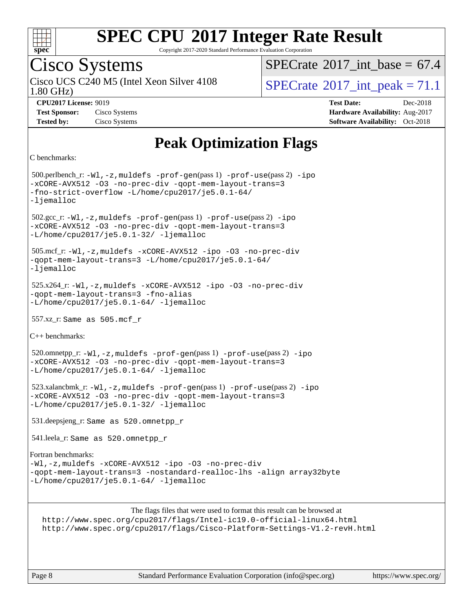

Copyright 2017-2020 Standard Performance Evaluation Corporation

## Cisco Systems

Cisco UCS C240 M5 (Intel Xeon Silver 4108<br>1.80 GHz)

[SPECrate](http://www.spec.org/auto/cpu2017/Docs/result-fields.html#SPECrate2017intbase)®2017 int\_base =  $67.4$ 

[SPECrate](http://www.spec.org/auto/cpu2017/Docs/result-fields.html#SPECrate2017intpeak)<sup>®</sup>2017 int peak = 71.1

**[Tested by:](http://www.spec.org/auto/cpu2017/Docs/result-fields.html#Testedby)** Cisco Systems **[Software Availability:](http://www.spec.org/auto/cpu2017/Docs/result-fields.html#SoftwareAvailability)** Oct-2018

**[CPU2017 License:](http://www.spec.org/auto/cpu2017/Docs/result-fields.html#CPU2017License)** 9019 **[Test Date:](http://www.spec.org/auto/cpu2017/Docs/result-fields.html#TestDate)** Dec-2018 **[Test Sponsor:](http://www.spec.org/auto/cpu2017/Docs/result-fields.html#TestSponsor)** Cisco Systems **[Hardware Availability:](http://www.spec.org/auto/cpu2017/Docs/result-fields.html#HardwareAvailability)** Aug-2017

## **[Peak Optimization Flags](http://www.spec.org/auto/cpu2017/Docs/result-fields.html#PeakOptimizationFlags)**

```
C benchmarks:
```
 500.perlbench\_r: [-Wl,-z,muldefs](http://www.spec.org/cpu2017/results/res2019q1/cpu2017-20190108-10645.flags.html#user_peakEXTRA_LDFLAGS500_perlbench_r_link_force_multiple1_b4cbdb97b34bdee9ceefcfe54f4c8ea74255f0b02a4b23e853cdb0e18eb4525ac79b5a88067c842dd0ee6996c24547a27a4b99331201badda8798ef8a743f577) [-prof-gen](http://www.spec.org/cpu2017/results/res2019q1/cpu2017-20190108-10645.flags.html#user_peakPASS1_CFLAGSPASS1_LDFLAGS500_perlbench_r_prof_gen_5aa4926d6013ddb2a31985c654b3eb18169fc0c6952a63635c234f711e6e63dd76e94ad52365559451ec499a2cdb89e4dc58ba4c67ef54ca681ffbe1461d6b36)(pass 1) [-prof-use](http://www.spec.org/cpu2017/results/res2019q1/cpu2017-20190108-10645.flags.html#user_peakPASS2_CFLAGSPASS2_LDFLAGS500_perlbench_r_prof_use_1a21ceae95f36a2b53c25747139a6c16ca95bd9def2a207b4f0849963b97e94f5260e30a0c64f4bb623698870e679ca08317ef8150905d41bd88c6f78df73f19)(pass 2) [-ipo](http://www.spec.org/cpu2017/results/res2019q1/cpu2017-20190108-10645.flags.html#user_peakPASS1_COPTIMIZEPASS2_COPTIMIZE500_perlbench_r_f-ipo) [-xCORE-AVX512](http://www.spec.org/cpu2017/results/res2019q1/cpu2017-20190108-10645.flags.html#user_peakPASS2_COPTIMIZE500_perlbench_r_f-xCORE-AVX512) [-O3](http://www.spec.org/cpu2017/results/res2019q1/cpu2017-20190108-10645.flags.html#user_peakPASS1_COPTIMIZEPASS2_COPTIMIZE500_perlbench_r_f-O3) [-no-prec-div](http://www.spec.org/cpu2017/results/res2019q1/cpu2017-20190108-10645.flags.html#user_peakPASS1_COPTIMIZEPASS2_COPTIMIZE500_perlbench_r_f-no-prec-div) [-qopt-mem-layout-trans=3](http://www.spec.org/cpu2017/results/res2019q1/cpu2017-20190108-10645.flags.html#user_peakPASS1_COPTIMIZEPASS2_COPTIMIZE500_perlbench_r_f-qopt-mem-layout-trans_de80db37974c74b1f0e20d883f0b675c88c3b01e9d123adea9b28688d64333345fb62bc4a798493513fdb68f60282f9a726aa07f478b2f7113531aecce732043) [-fno-strict-overflow](http://www.spec.org/cpu2017/results/res2019q1/cpu2017-20190108-10645.flags.html#user_peakEXTRA_OPTIMIZE500_perlbench_r_f-fno-strict-overflow) [-L/home/cpu2017/je5.0.1-64/](http://www.spec.org/cpu2017/results/res2019q1/cpu2017-20190108-10645.flags.html#user_peakEXTRA_LIBS500_perlbench_r_jemalloc_link_path64_8e927a5f1bdac0405e66c637541874330e08086b5e62a1d024bcf3497e3c64fd173c8afb7d1730d51f6da781ef4c439bdab468bb8364cf71435e0c609fac500c) [-ljemalloc](http://www.spec.org/cpu2017/results/res2019q1/cpu2017-20190108-10645.flags.html#user_peakEXTRA_LIBS500_perlbench_r_jemalloc_link_lib_d1249b907c500fa1c0672f44f562e3d0f79738ae9e3c4a9c376d49f265a04b9c99b167ecedbf6711b3085be911c67ff61f150a17b3472be731631ba4d0471706) 502.gcc\_r: [-Wl,-z,muldefs](http://www.spec.org/cpu2017/results/res2019q1/cpu2017-20190108-10645.flags.html#user_peakEXTRA_LDFLAGS502_gcc_r_link_force_multiple1_b4cbdb97b34bdee9ceefcfe54f4c8ea74255f0b02a4b23e853cdb0e18eb4525ac79b5a88067c842dd0ee6996c24547a27a4b99331201badda8798ef8a743f577) [-prof-gen](http://www.spec.org/cpu2017/results/res2019q1/cpu2017-20190108-10645.flags.html#user_peakPASS1_CFLAGSPASS1_LDFLAGS502_gcc_r_prof_gen_5aa4926d6013ddb2a31985c654b3eb18169fc0c6952a63635c234f711e6e63dd76e94ad52365559451ec499a2cdb89e4dc58ba4c67ef54ca681ffbe1461d6b36)(pass 1) [-prof-use](http://www.spec.org/cpu2017/results/res2019q1/cpu2017-20190108-10645.flags.html#user_peakPASS2_CFLAGSPASS2_LDFLAGS502_gcc_r_prof_use_1a21ceae95f36a2b53c25747139a6c16ca95bd9def2a207b4f0849963b97e94f5260e30a0c64f4bb623698870e679ca08317ef8150905d41bd88c6f78df73f19)(pass 2) [-ipo](http://www.spec.org/cpu2017/results/res2019q1/cpu2017-20190108-10645.flags.html#user_peakPASS1_COPTIMIZEPASS2_COPTIMIZE502_gcc_r_f-ipo) [-xCORE-AVX512](http://www.spec.org/cpu2017/results/res2019q1/cpu2017-20190108-10645.flags.html#user_peakPASS2_COPTIMIZE502_gcc_r_f-xCORE-AVX512) [-O3](http://www.spec.org/cpu2017/results/res2019q1/cpu2017-20190108-10645.flags.html#user_peakPASS1_COPTIMIZEPASS2_COPTIMIZE502_gcc_r_f-O3) [-no-prec-div](http://www.spec.org/cpu2017/results/res2019q1/cpu2017-20190108-10645.flags.html#user_peakPASS1_COPTIMIZEPASS2_COPTIMIZE502_gcc_r_f-no-prec-div) [-qopt-mem-layout-trans=3](http://www.spec.org/cpu2017/results/res2019q1/cpu2017-20190108-10645.flags.html#user_peakPASS1_COPTIMIZEPASS2_COPTIMIZE502_gcc_r_f-qopt-mem-layout-trans_de80db37974c74b1f0e20d883f0b675c88c3b01e9d123adea9b28688d64333345fb62bc4a798493513fdb68f60282f9a726aa07f478b2f7113531aecce732043) [-L/home/cpu2017/je5.0.1-32/](http://www.spec.org/cpu2017/results/res2019q1/cpu2017-20190108-10645.flags.html#user_peakEXTRA_LIBS502_gcc_r_jemalloc_link_path32_395839964bb6e7d127dfa41a70bc909a71494bc32f82a1f18d87c6546a5f35ea9c5ad3c111b30f9a5397a6f43b4f43a41cfbf7d188da9198ed16c21920a4a794) [-ljemalloc](http://www.spec.org/cpu2017/results/res2019q1/cpu2017-20190108-10645.flags.html#user_peakEXTRA_LIBS502_gcc_r_jemalloc_link_lib_d1249b907c500fa1c0672f44f562e3d0f79738ae9e3c4a9c376d49f265a04b9c99b167ecedbf6711b3085be911c67ff61f150a17b3472be731631ba4d0471706) 505.mcf\_r: [-Wl,-z,muldefs](http://www.spec.org/cpu2017/results/res2019q1/cpu2017-20190108-10645.flags.html#user_peakEXTRA_LDFLAGS505_mcf_r_link_force_multiple1_b4cbdb97b34bdee9ceefcfe54f4c8ea74255f0b02a4b23e853cdb0e18eb4525ac79b5a88067c842dd0ee6996c24547a27a4b99331201badda8798ef8a743f577) [-xCORE-AVX512](http://www.spec.org/cpu2017/results/res2019q1/cpu2017-20190108-10645.flags.html#user_peakCOPTIMIZE505_mcf_r_f-xCORE-AVX512) [-ipo](http://www.spec.org/cpu2017/results/res2019q1/cpu2017-20190108-10645.flags.html#user_peakCOPTIMIZE505_mcf_r_f-ipo) [-O3](http://www.spec.org/cpu2017/results/res2019q1/cpu2017-20190108-10645.flags.html#user_peakCOPTIMIZE505_mcf_r_f-O3) [-no-prec-div](http://www.spec.org/cpu2017/results/res2019q1/cpu2017-20190108-10645.flags.html#user_peakCOPTIMIZE505_mcf_r_f-no-prec-div) [-qopt-mem-layout-trans=3](http://www.spec.org/cpu2017/results/res2019q1/cpu2017-20190108-10645.flags.html#user_peakCOPTIMIZE505_mcf_r_f-qopt-mem-layout-trans_de80db37974c74b1f0e20d883f0b675c88c3b01e9d123adea9b28688d64333345fb62bc4a798493513fdb68f60282f9a726aa07f478b2f7113531aecce732043) [-L/home/cpu2017/je5.0.1-64/](http://www.spec.org/cpu2017/results/res2019q1/cpu2017-20190108-10645.flags.html#user_peakEXTRA_LIBS505_mcf_r_jemalloc_link_path64_8e927a5f1bdac0405e66c637541874330e08086b5e62a1d024bcf3497e3c64fd173c8afb7d1730d51f6da781ef4c439bdab468bb8364cf71435e0c609fac500c) [-ljemalloc](http://www.spec.org/cpu2017/results/res2019q1/cpu2017-20190108-10645.flags.html#user_peakEXTRA_LIBS505_mcf_r_jemalloc_link_lib_d1249b907c500fa1c0672f44f562e3d0f79738ae9e3c4a9c376d49f265a04b9c99b167ecedbf6711b3085be911c67ff61f150a17b3472be731631ba4d0471706) 525.x264\_r: [-Wl,-z,muldefs](http://www.spec.org/cpu2017/results/res2019q1/cpu2017-20190108-10645.flags.html#user_peakEXTRA_LDFLAGS525_x264_r_link_force_multiple1_b4cbdb97b34bdee9ceefcfe54f4c8ea74255f0b02a4b23e853cdb0e18eb4525ac79b5a88067c842dd0ee6996c24547a27a4b99331201badda8798ef8a743f577) [-xCORE-AVX512](http://www.spec.org/cpu2017/results/res2019q1/cpu2017-20190108-10645.flags.html#user_peakCOPTIMIZE525_x264_r_f-xCORE-AVX512) [-ipo](http://www.spec.org/cpu2017/results/res2019q1/cpu2017-20190108-10645.flags.html#user_peakCOPTIMIZE525_x264_r_f-ipo) [-O3](http://www.spec.org/cpu2017/results/res2019q1/cpu2017-20190108-10645.flags.html#user_peakCOPTIMIZE525_x264_r_f-O3) [-no-prec-div](http://www.spec.org/cpu2017/results/res2019q1/cpu2017-20190108-10645.flags.html#user_peakCOPTIMIZE525_x264_r_f-no-prec-div) [-qopt-mem-layout-trans=3](http://www.spec.org/cpu2017/results/res2019q1/cpu2017-20190108-10645.flags.html#user_peakCOPTIMIZE525_x264_r_f-qopt-mem-layout-trans_de80db37974c74b1f0e20d883f0b675c88c3b01e9d123adea9b28688d64333345fb62bc4a798493513fdb68f60282f9a726aa07f478b2f7113531aecce732043) [-fno-alias](http://www.spec.org/cpu2017/results/res2019q1/cpu2017-20190108-10645.flags.html#user_peakEXTRA_OPTIMIZE525_x264_r_f-no-alias_77dbac10d91cbfe898fbf4a29d1b29b694089caa623bdd1baccc9957d4edbe8d106c0b357e2748a65b44fc9e83d78098bb898077f3fe92f9faf24f7bd4a07ed7) [-L/home/cpu2017/je5.0.1-64/](http://www.spec.org/cpu2017/results/res2019q1/cpu2017-20190108-10645.flags.html#user_peakEXTRA_LIBS525_x264_r_jemalloc_link_path64_8e927a5f1bdac0405e66c637541874330e08086b5e62a1d024bcf3497e3c64fd173c8afb7d1730d51f6da781ef4c439bdab468bb8364cf71435e0c609fac500c) [-ljemalloc](http://www.spec.org/cpu2017/results/res2019q1/cpu2017-20190108-10645.flags.html#user_peakEXTRA_LIBS525_x264_r_jemalloc_link_lib_d1249b907c500fa1c0672f44f562e3d0f79738ae9e3c4a9c376d49f265a04b9c99b167ecedbf6711b3085be911c67ff61f150a17b3472be731631ba4d0471706) 557.xz\_r: Same as 505.mcf\_r [C++ benchmarks](http://www.spec.org/auto/cpu2017/Docs/result-fields.html#CXXbenchmarks): 520.omnetpp\_r: [-Wl,-z,muldefs](http://www.spec.org/cpu2017/results/res2019q1/cpu2017-20190108-10645.flags.html#user_peakEXTRA_LDFLAGS520_omnetpp_r_link_force_multiple1_b4cbdb97b34bdee9ceefcfe54f4c8ea74255f0b02a4b23e853cdb0e18eb4525ac79b5a88067c842dd0ee6996c24547a27a4b99331201badda8798ef8a743f577) [-prof-gen](http://www.spec.org/cpu2017/results/res2019q1/cpu2017-20190108-10645.flags.html#user_peakPASS1_CXXFLAGSPASS1_LDFLAGS520_omnetpp_r_prof_gen_5aa4926d6013ddb2a31985c654b3eb18169fc0c6952a63635c234f711e6e63dd76e94ad52365559451ec499a2cdb89e4dc58ba4c67ef54ca681ffbe1461d6b36)(pass 1) [-prof-use](http://www.spec.org/cpu2017/results/res2019q1/cpu2017-20190108-10645.flags.html#user_peakPASS2_CXXFLAGSPASS2_LDFLAGS520_omnetpp_r_prof_use_1a21ceae95f36a2b53c25747139a6c16ca95bd9def2a207b4f0849963b97e94f5260e30a0c64f4bb623698870e679ca08317ef8150905d41bd88c6f78df73f19)(pass 2) [-ipo](http://www.spec.org/cpu2017/results/res2019q1/cpu2017-20190108-10645.flags.html#user_peakPASS1_CXXOPTIMIZEPASS2_CXXOPTIMIZE520_omnetpp_r_f-ipo) [-xCORE-AVX512](http://www.spec.org/cpu2017/results/res2019q1/cpu2017-20190108-10645.flags.html#user_peakPASS2_CXXOPTIMIZE520_omnetpp_r_f-xCORE-AVX512) [-O3](http://www.spec.org/cpu2017/results/res2019q1/cpu2017-20190108-10645.flags.html#user_peakPASS1_CXXOPTIMIZEPASS2_CXXOPTIMIZE520_omnetpp_r_f-O3) [-no-prec-div](http://www.spec.org/cpu2017/results/res2019q1/cpu2017-20190108-10645.flags.html#user_peakPASS1_CXXOPTIMIZEPASS2_CXXOPTIMIZE520_omnetpp_r_f-no-prec-div) [-qopt-mem-layout-trans=3](http://www.spec.org/cpu2017/results/res2019q1/cpu2017-20190108-10645.flags.html#user_peakPASS1_CXXOPTIMIZEPASS2_CXXOPTIMIZE520_omnetpp_r_f-qopt-mem-layout-trans_de80db37974c74b1f0e20d883f0b675c88c3b01e9d123adea9b28688d64333345fb62bc4a798493513fdb68f60282f9a726aa07f478b2f7113531aecce732043) [-L/home/cpu2017/je5.0.1-64/](http://www.spec.org/cpu2017/results/res2019q1/cpu2017-20190108-10645.flags.html#user_peakEXTRA_LIBS520_omnetpp_r_jemalloc_link_path64_8e927a5f1bdac0405e66c637541874330e08086b5e62a1d024bcf3497e3c64fd173c8afb7d1730d51f6da781ef4c439bdab468bb8364cf71435e0c609fac500c) [-ljemalloc](http://www.spec.org/cpu2017/results/res2019q1/cpu2017-20190108-10645.flags.html#user_peakEXTRA_LIBS520_omnetpp_r_jemalloc_link_lib_d1249b907c500fa1c0672f44f562e3d0f79738ae9e3c4a9c376d49f265a04b9c99b167ecedbf6711b3085be911c67ff61f150a17b3472be731631ba4d0471706) 523.xalancbmk\_r: [-Wl,-z,muldefs](http://www.spec.org/cpu2017/results/res2019q1/cpu2017-20190108-10645.flags.html#user_peakEXTRA_LDFLAGS523_xalancbmk_r_link_force_multiple1_b4cbdb97b34bdee9ceefcfe54f4c8ea74255f0b02a4b23e853cdb0e18eb4525ac79b5a88067c842dd0ee6996c24547a27a4b99331201badda8798ef8a743f577) [-prof-gen](http://www.spec.org/cpu2017/results/res2019q1/cpu2017-20190108-10645.flags.html#user_peakPASS1_CXXFLAGSPASS1_LDFLAGS523_xalancbmk_r_prof_gen_5aa4926d6013ddb2a31985c654b3eb18169fc0c6952a63635c234f711e6e63dd76e94ad52365559451ec499a2cdb89e4dc58ba4c67ef54ca681ffbe1461d6b36)(pass 1) [-prof-use](http://www.spec.org/cpu2017/results/res2019q1/cpu2017-20190108-10645.flags.html#user_peakPASS2_CXXFLAGSPASS2_LDFLAGS523_xalancbmk_r_prof_use_1a21ceae95f36a2b53c25747139a6c16ca95bd9def2a207b4f0849963b97e94f5260e30a0c64f4bb623698870e679ca08317ef8150905d41bd88c6f78df73f19)(pass 2) [-ipo](http://www.spec.org/cpu2017/results/res2019q1/cpu2017-20190108-10645.flags.html#user_peakPASS1_CXXOPTIMIZEPASS2_CXXOPTIMIZE523_xalancbmk_r_f-ipo) [-xCORE-AVX512](http://www.spec.org/cpu2017/results/res2019q1/cpu2017-20190108-10645.flags.html#user_peakPASS2_CXXOPTIMIZE523_xalancbmk_r_f-xCORE-AVX512) [-O3](http://www.spec.org/cpu2017/results/res2019q1/cpu2017-20190108-10645.flags.html#user_peakPASS1_CXXOPTIMIZEPASS2_CXXOPTIMIZE523_xalancbmk_r_f-O3) [-no-prec-div](http://www.spec.org/cpu2017/results/res2019q1/cpu2017-20190108-10645.flags.html#user_peakPASS1_CXXOPTIMIZEPASS2_CXXOPTIMIZE523_xalancbmk_r_f-no-prec-div) [-qopt-mem-layout-trans=3](http://www.spec.org/cpu2017/results/res2019q1/cpu2017-20190108-10645.flags.html#user_peakPASS1_CXXOPTIMIZEPASS2_CXXOPTIMIZE523_xalancbmk_r_f-qopt-mem-layout-trans_de80db37974c74b1f0e20d883f0b675c88c3b01e9d123adea9b28688d64333345fb62bc4a798493513fdb68f60282f9a726aa07f478b2f7113531aecce732043) [-L/home/cpu2017/je5.0.1-32/](http://www.spec.org/cpu2017/results/res2019q1/cpu2017-20190108-10645.flags.html#user_peakEXTRA_LIBS523_xalancbmk_r_jemalloc_link_path32_395839964bb6e7d127dfa41a70bc909a71494bc32f82a1f18d87c6546a5f35ea9c5ad3c111b30f9a5397a6f43b4f43a41cfbf7d188da9198ed16c21920a4a794) [-ljemalloc](http://www.spec.org/cpu2017/results/res2019q1/cpu2017-20190108-10645.flags.html#user_peakEXTRA_LIBS523_xalancbmk_r_jemalloc_link_lib_d1249b907c500fa1c0672f44f562e3d0f79738ae9e3c4a9c376d49f265a04b9c99b167ecedbf6711b3085be911c67ff61f150a17b3472be731631ba4d0471706) 531.deepsjeng\_r: Same as 520.omnetpp\_r 541.leela\_r: Same as 520.omnetpp\_r [Fortran benchmarks:](http://www.spec.org/auto/cpu2017/Docs/result-fields.html#Fortranbenchmarks) [-Wl,-z,muldefs](http://www.spec.org/cpu2017/results/res2019q1/cpu2017-20190108-10645.flags.html#user_FCpeak_link_force_multiple1_b4cbdb97b34bdee9ceefcfe54f4c8ea74255f0b02a4b23e853cdb0e18eb4525ac79b5a88067c842dd0ee6996c24547a27a4b99331201badda8798ef8a743f577) [-xCORE-AVX512](http://www.spec.org/cpu2017/results/res2019q1/cpu2017-20190108-10645.flags.html#user_FCpeak_f-xCORE-AVX512) [-ipo](http://www.spec.org/cpu2017/results/res2019q1/cpu2017-20190108-10645.flags.html#user_FCpeak_f-ipo) [-O3](http://www.spec.org/cpu2017/results/res2019q1/cpu2017-20190108-10645.flags.html#user_FCpeak_f-O3) [-no-prec-div](http://www.spec.org/cpu2017/results/res2019q1/cpu2017-20190108-10645.flags.html#user_FCpeak_f-no-prec-div) [-qopt-mem-layout-trans=3](http://www.spec.org/cpu2017/results/res2019q1/cpu2017-20190108-10645.flags.html#user_FCpeak_f-qopt-mem-layout-trans_de80db37974c74b1f0e20d883f0b675c88c3b01e9d123adea9b28688d64333345fb62bc4a798493513fdb68f60282f9a726aa07f478b2f7113531aecce732043) [-nostandard-realloc-lhs](http://www.spec.org/cpu2017/results/res2019q1/cpu2017-20190108-10645.flags.html#user_FCpeak_f_2003_std_realloc_82b4557e90729c0f113870c07e44d33d6f5a304b4f63d4c15d2d0f1fab99f5daaed73bdb9275d9ae411527f28b936061aa8b9c8f2d63842963b95c9dd6426b8a) [-align array32byte](http://www.spec.org/cpu2017/results/res2019q1/cpu2017-20190108-10645.flags.html#user_FCpeak_align_array32byte_b982fe038af199962ba9a80c053b8342c548c85b40b8e86eb3cc33dee0d7986a4af373ac2d51c3f7cf710a18d62fdce2948f201cd044323541f22fc0fffc51b6) [-L/home/cpu2017/je5.0.1-64/](http://www.spec.org/cpu2017/results/res2019q1/cpu2017-20190108-10645.flags.html#user_FCpeak_jemalloc_link_path64_8e927a5f1bdac0405e66c637541874330e08086b5e62a1d024bcf3497e3c64fd173c8afb7d1730d51f6da781ef4c439bdab468bb8364cf71435e0c609fac500c) [-ljemalloc](http://www.spec.org/cpu2017/results/res2019q1/cpu2017-20190108-10645.flags.html#user_FCpeak_jemalloc_link_lib_d1249b907c500fa1c0672f44f562e3d0f79738ae9e3c4a9c376d49f265a04b9c99b167ecedbf6711b3085be911c67ff61f150a17b3472be731631ba4d0471706)

[The flags files that were used to format this result can be browsed at](tmsearch) <http://www.spec.org/cpu2017/flags/Intel-ic19.0-official-linux64.html> <http://www.spec.org/cpu2017/flags/Cisco-Platform-Settings-V1.2-revH.html>